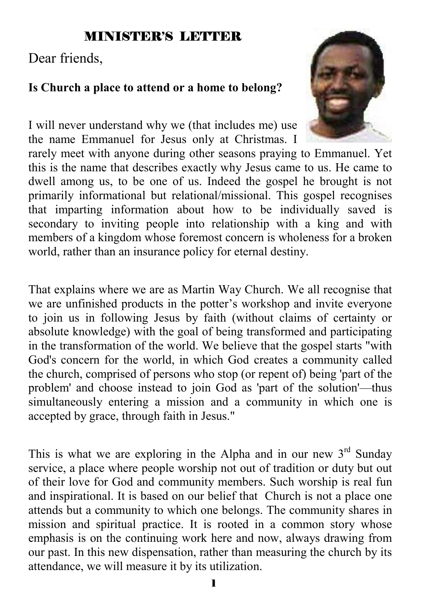# MINISTER'S LETTER

# Dear friends,

### **Is Church a place to attend or a home to belong?**

I will never understand why we (that includes me) use the name Emmanuel for Jesus only at Christmas. I



rarely meet with anyone during other seasons praying to Emmanuel. Yet this is the name that describes exactly why Jesus came to us. He came to dwell among us, to be one of us. Indeed the gospel he brought is not primarily informational but relational/missional. This gospel recognises that imparting information about how to be individually saved is secondary to inviting people into relationship with a king and with members of a kingdom whose foremost concern is wholeness for a broken world, rather than an insurance policy for eternal destiny.

That explains where we are as Martin Way Church. We all recognise that we are unfinished products in the potter's workshop and invite everyone to join us in following Jesus by faith (without claims of certainty or absolute knowledge) with the goal of being transformed and participating in the transformation of the world. We believe that the gospel starts "with God's concern for the world, in which God creates a community called the church, comprised of persons who stop (or repent of) being 'part of the problem' and choose instead to join God as 'part of the solution'—thus simultaneously entering a mission and a community in which one is accepted by grace, through faith in Jesus."

This is what we are exploring in the Alpha and in our new  $3<sup>rd</sup>$  Sunday service, a place where people worship not out of tradition or duty but out of their love for God and community members. Such worship is real fun and inspirational. It is based on our belief that Church is not a place one attends but a community to which one belongs. The community shares in mission and spiritual practice. It is rooted in a common story whose emphasis is on the continuing work here and now, always drawing from our past. In this new dispensation, rather than measuring the church by its attendance, we will measure it by its utilization.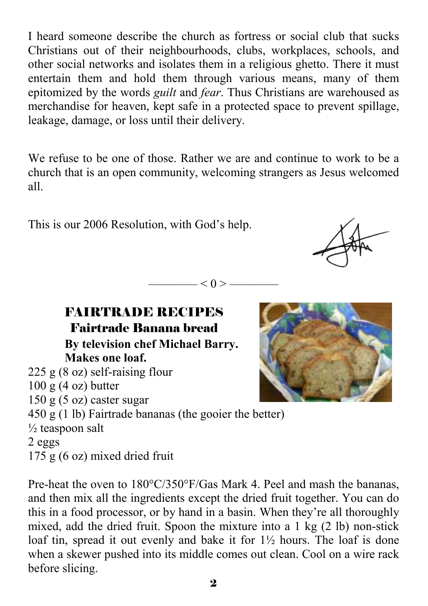I heard someone describe the church as fortress or social club that sucks Christians out of their neighbourhoods, clubs, workplaces, schools, and other social networks and isolates them in a religious ghetto. There it must entertain them and hold them through various means, many of them epitomized by the words *guilt* and *fear*. Thus Christians are warehoused as merchandise for heaven, kept safe in a protected space to prevent spillage, leakage, damage, or loss until their delivery.

We refuse to be one of those. Rather we are and continue to work to be a church that is an open community, welcoming strangers as Jesus welcomed all.

This is our 2006 Resolution, with God's help.



 $< 0 > -$ 

FAIRTRADE RECIPES Fairtrade Banana bread  **By television chef Michael Barry. Makes one loaf.**  225 g (8 oz) self-raising flour  $100$  g  $(4$  oz) butter  $150$  g  $(5 \text{ oz})$  caster sugar 450 g (1 lb) Fairtrade bananas (the gooier the better)  $\frac{1}{2}$  teaspoon salt 2 eggs 175 g (6 oz) mixed dried fruit

Pre-heat the oven to 180°C/350°F/Gas Mark 4. Peel and mash the bananas, and then mix all the ingredients except the dried fruit together. You can do this in a food processor, or by hand in a basin. When they're all thoroughly mixed, add the dried fruit. Spoon the mixture into a 1 kg (2 lb) non-stick loaf tin, spread it out evenly and bake it for 1½ hours. The loaf is done when a skewer pushed into its middle comes out clean. Cool on a wire rack before slicing.

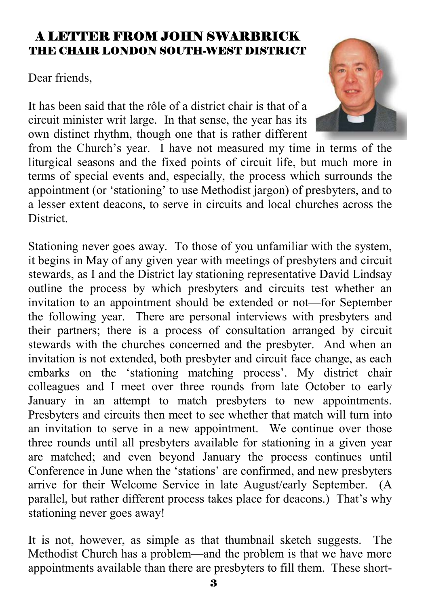### A LETTER FROM JOHN SWARBRICK THE CHAIR LONDON SOUTH-WEST DISTRICT

Dear friends,

It has been said that the rôle of a district chair is that of a circuit minister writ large. In that sense, the year has its own distinct rhythm, though one that is rather different



Stationing never goes away. To those of you unfamiliar with the system, it begins in May of any given year with meetings of presbyters and circuit stewards, as I and the District lay stationing representative David Lindsay outline the process by which presbyters and circuits test whether an invitation to an appointment should be extended or not—for September the following year. There are personal interviews with presbyters and their partners; there is a process of consultation arranged by circuit stewards with the churches concerned and the presbyter. And when an invitation is not extended, both presbyter and circuit face change, as each embarks on the 'stationing matching process'. My district chair colleagues and I meet over three rounds from late October to early January in an attempt to match presbyters to new appointments. Presbyters and circuits then meet to see whether that match will turn into an invitation to serve in a new appointment. We continue over those three rounds until all presbyters available for stationing in a given year are matched; and even beyond January the process continues until Conference in June when the 'stations' are confirmed, and new presbyters arrive for their Welcome Service in late August/early September. (A parallel, but rather different process takes place for deacons.) That's why stationing never goes away!

It is not, however, as simple as that thumbnail sketch suggests. The Methodist Church has a problem—and the problem is that we have more appointments available than there are presbyters to fill them. These short-

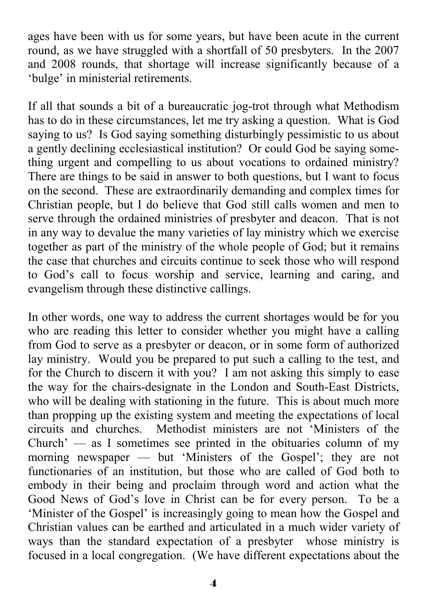ages have been with us for some years, but have been acute in the current round, as we have struggled with a shortfall of 50 presbyters. In the 2007 and 2008 rounds, that shortage will increase significantly because of a 'bulge' in ministerial retirements.

If all that sounds a bit of a bureaucratic jog-trot through what Methodism has to do in these circumstances, let me try asking a question. What is God saying to us? Is God saying something disturbingly pessimistic to us about a gently declining ecclesiastical institution? Or could God be saying something urgent and compelling to us about vocations to ordained ministry? There are things to be said in answer to both questions, but I want to focus on the second. These are extraordinarily demanding and complex times for Christian people, but I do believe that God still calls women and men to serve through the ordained ministries of presbyter and deacon. That is not in any way to devalue the many varieties of lay ministry which we exercise together as part of the ministry of the whole people of God; but it remains the case that churches and circuits continue to seek those who will respond to God's call to focus worship and service, learning and caring, and evangelism through these distinctive callings.

In other words, one way to address the current shortages would be for you who are reading this letter to consider whether you might have a calling from God to serve as a presbyter or deacon, or in some form of authorized lay ministry. Would you be prepared to put such a calling to the test, and for the Church to discern it with you? I am not asking this simply to ease the way for the chairs-designate in the London and South-East Districts, who will be dealing with stationing in the future. This is about much more than propping up the existing system and meeting the expectations of local circuits and churches. Methodist ministers are not 'Ministers of the Church'  $-$  as I sometimes see printed in the obituaries column of my morning newspaper — but 'Ministers of the Gospel'; they are not functionaries of an institution, but those who are called of God both to embody in their being and proclaim through word and action what the Good News of God's love in Christ can be for every person. To be a 'Minister of the Gospel' is increasingly going to mean how the Gospel and Christian values can be earthed and articulated in a much wider variety of ways than the standard expectation of a presbyter whose ministry is focused in a local congregation. (We have different expectations about the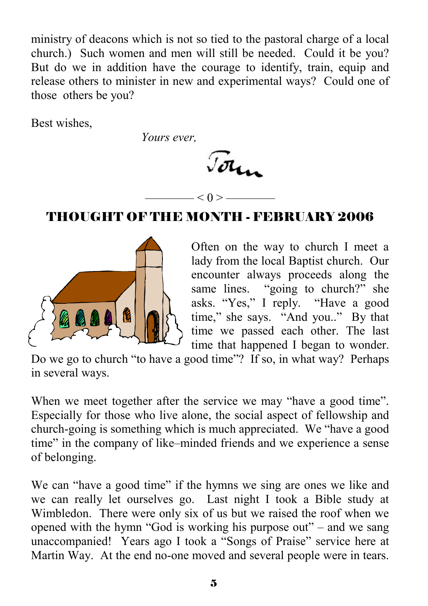ministry of deacons which is not so tied to the pastoral charge of a local church.) Such women and men will still be needed. Could it be you? But do we in addition have the courage to identify, train, equip and release others to minister in new and experimental ways? Could one of those others be you?

Best wishes,

 *Yours ever,* 

John

# ———— < 0 > ———— THOUGHT OF THE MONTH - FEBRUARY 2006



Often on the way to church I meet a lady from the local Baptist church. Our encounter always proceeds along the same lines. "going to church?" she asks. "Yes," I reply. "Have a good time," she says. "And you.." By that time we passed each other. The last time that happened I began to wonder.

Do we go to church "to have a good time"? If so, in what way? Perhaps in several ways.

When we meet together after the service we may "have a good time". Especially for those who live alone, the social aspect of fellowship and church-going is something which is much appreciated. We "have a good time" in the company of like–minded friends and we experience a sense of belonging.

We can "have a good time" if the hymns we sing are ones we like and we can really let ourselves go. Last night I took a Bible study at Wimbledon. There were only six of us but we raised the roof when we opened with the hymn "God is working his purpose out" – and we sang unaccompanied! Years ago I took a "Songs of Praise" service here at Martin Way. At the end no-one moved and several people were in tears.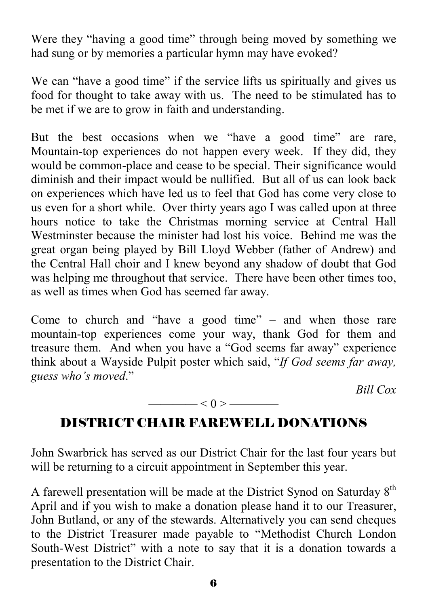Were they "having a good time" through being moved by something we had sung or by memories a particular hymn may have evoked?

We can "have a good time" if the service lifts us spiritually and gives us food for thought to take away with us. The need to be stimulated has to be met if we are to grow in faith and understanding.

But the best occasions when we "have a good time" are rare, Mountain-top experiences do not happen every week. If they did, they would be common-place and cease to be special. Their significance would diminish and their impact would be nullified. But all of us can look back on experiences which have led us to feel that God has come very close to us even for a short while. Over thirty years ago I was called upon at three hours notice to take the Christmas morning service at Central Hall Westminster because the minister had lost his voice. Behind me was the great organ being played by Bill Lloyd Webber (father of Andrew) and the Central Hall choir and I knew beyond any shadow of doubt that God was helping me throughout that service. There have been other times too, as well as times when God has seemed far away.

Come to church and "have a good time" – and when those rare mountain-top experiences come your way, thank God for them and treasure them. And when you have a "God seems far away" experience think about a Wayside Pulpit poster which said, "*If God seems far away, guess who's moved*."

*Bill Cox* 

# DISTRICT CHAIR FAREWELL DONATIONS

 $\qquad$   $\leq$  0  $>$ 

John Swarbrick has served as our District Chair for the last four years but will be returning to a circuit appointment in September this year.

A farewell presentation will be made at the District Synod on Saturday  $8<sup>th</sup>$ April and if you wish to make a donation please hand it to our Treasurer, John Butland, or any of the stewards. Alternatively you can send cheques to the District Treasurer made payable to "Methodist Church London South-West District" with a note to say that it is a donation towards a presentation to the District Chair.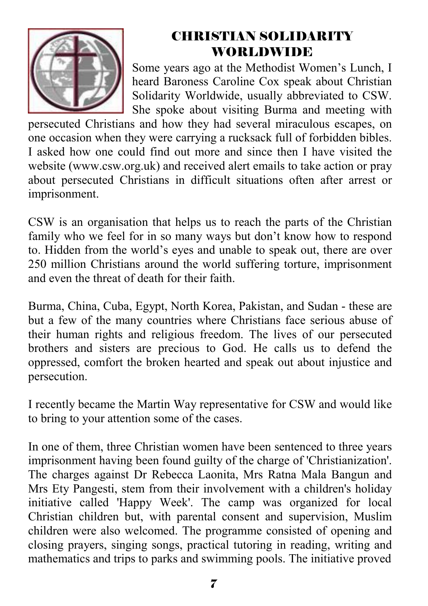

# CHRISTIAN SOLIDARITY WORLDWIDE

Some years ago at the Methodist Women's Lunch, I heard Baroness Caroline Cox speak about Christian Solidarity Worldwide, usually abbreviated to CSW. She spoke about visiting Burma and meeting with

persecuted Christians and how they had several miraculous escapes, on one occasion when they were carrying a rucksack full of forbidden bibles. I asked how one could find out more and since then I have visited the website (www.csw.org.uk) and received alert emails to take action or pray about persecuted Christians in difficult situations often after arrest or imprisonment.

CSW is an organisation that helps us to reach the parts of the Christian family who we feel for in so many ways but don't know how to respond to. Hidden from the world's eyes and unable to speak out, there are over 250 million Christians around the world suffering torture, imprisonment and even the threat of death for their faith.

Burma, China, Cuba, Egypt, North Korea, Pakistan, and Sudan - these are but a few of the many countries where Christians face serious abuse of their human rights and religious freedom. The lives of our persecuted brothers and sisters are precious to God. He calls us to defend the oppressed, comfort the broken hearted and speak out about injustice and persecution.

I recently became the Martin Way representative for CSW and would like to bring to your attention some of the cases.

In one of them, three Christian women have been sentenced to three years imprisonment having been found guilty of the charge of 'Christianization'. The charges against Dr Rebecca Laonita, Mrs Ratna Mala Bangun and Mrs Ety Pangesti, stem from their involvement with a children's holiday initiative called 'Happy Week'. The camp was organized for local Christian children but, with parental consent and supervision, Muslim children were also welcomed. The programme consisted of opening and closing prayers, singing songs, practical tutoring in reading, writing and mathematics and trips to parks and swimming pools. The initiative proved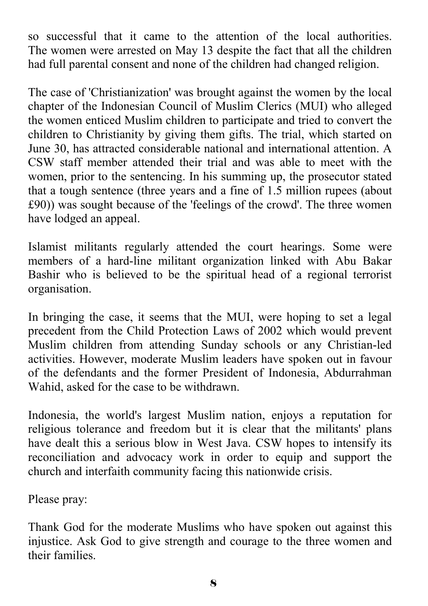so successful that it came to the attention of the local authorities. The women were arrested on May 13 despite the fact that all the children had full parental consent and none of the children had changed religion.

The case of 'Christianization' was brought against the women by the local chapter of the Indonesian Council of Muslim Clerics (MUI) who alleged the women enticed Muslim children to participate and tried to convert the children to Christianity by giving them gifts. The trial, which started on June 30, has attracted considerable national and international attention. A CSW staff member attended their trial and was able to meet with the women, prior to the sentencing. In his summing up, the prosecutor stated that a tough sentence (three years and a fine of 1.5 million rupees (about £90)) was sought because of the 'feelings of the crowd'. The three women have lodged an appeal.

Islamist militants regularly attended the court hearings. Some were members of a hard-line militant organization linked with Abu Bakar Bashir who is believed to be the spiritual head of a regional terrorist organisation.

In bringing the case, it seems that the MUI, were hoping to set a legal precedent from the Child Protection Laws of 2002 which would prevent Muslim children from attending Sunday schools or any Christian-led activities. However, moderate Muslim leaders have spoken out in favour of the defendants and the former President of Indonesia, Abdurrahman Wahid, asked for the case to be withdrawn.

Indonesia, the world's largest Muslim nation, enjoys a reputation for religious tolerance and freedom but it is clear that the militants' plans have dealt this a serious blow in West Java. CSW hopes to intensify its reconciliation and advocacy work in order to equip and support the church and interfaith community facing this nationwide crisis.

Please pray:

Thank God for the moderate Muslims who have spoken out against this injustice. Ask God to give strength and courage to the three women and their families.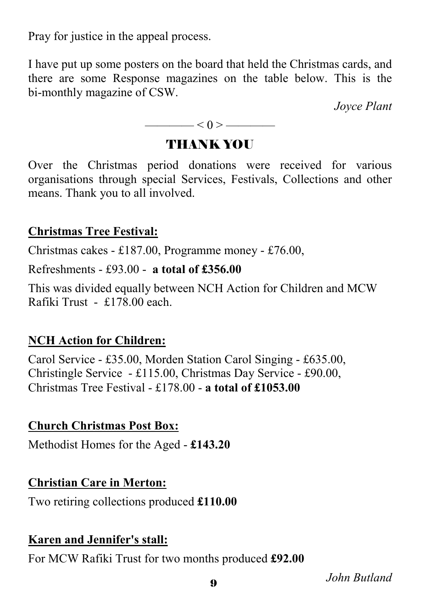Pray for justice in the appeal process.

I have put up some posters on the board that held the Christmas cards, and there are some Response magazines on the table below. This is the bi-monthly magazine of CSW.

*Joyce Plant*

$$
\overbrace{\hspace{1.5cm}}<0>\overbrace{\hspace{1.5cm}}
$$

### THANK YOU

Over the Christmas period donations were received for various organisations through special Services, Festivals, Collections and other means. Thank you to all involved.

### **Christmas Tree Festival:**

Christmas cakes - £187.00, Programme money - £76.00,

Refreshments - £93.00 - **a total of £356.00** 

This was divided equally between NCH Action for Children and MCW Rafiki Trust - £178.00 each.

# **NCH Action for Children:**

Carol Service - £35.00, Morden Station Carol Singing - £635.00, Christingle Service - £115.00, Christmas Day Service - £90.00, Christmas Tree Festival - £178.00 - **a total of £1053.00**

### **Church Christmas Post Box:**

Methodist Homes for the Aged - **£143.20**

### **Christian Care in Merton:**

Two retiring collections produced **£110.00**

### **Karen and Jennifer's stall:**

For MCW Rafiki Trust for two months produced **£92.00** 

*John Butland*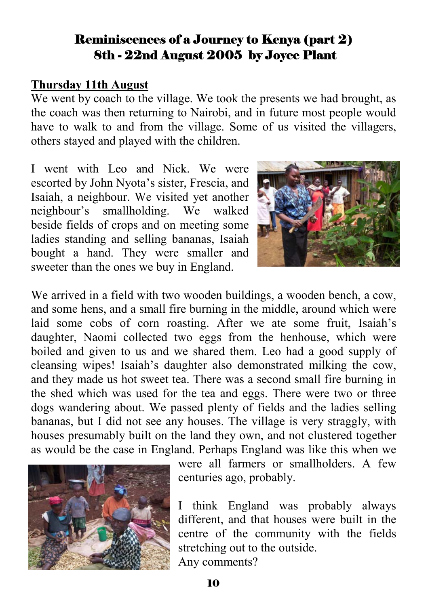### Reminiscences of a Journey to Kenya (part 2) 8th - 22nd August 2005 by Joyce Plant

#### **Thursday 11th August**

We went by coach to the village. We took the presents we had brought, as the coach was then returning to Nairobi, and in future most people would have to walk to and from the village. Some of us visited the villagers, others stayed and played with the children.

I went with Leo and Nick. We were escorted by John Nyota's sister, Frescia, and Isaiah, a neighbour. We visited yet another neighbour's smallholding. We walked beside fields of crops and on meeting some ladies standing and selling bananas, Isaiah bought a hand. They were smaller and sweeter than the ones we buy in England.



We arrived in a field with two wooden buildings, a wooden bench, a cow, and some hens, and a small fire burning in the middle, around which were laid some cobs of corn roasting. After we ate some fruit, Isaiah's daughter, Naomi collected two eggs from the henhouse, which were boiled and given to us and we shared them. Leo had a good supply of cleansing wipes! Isaiah's daughter also demonstrated milking the cow, and they made us hot sweet tea. There was a second small fire burning in the shed which was used for the tea and eggs. There were two or three dogs wandering about. We passed plenty of fields and the ladies selling bananas, but I did not see any houses. The village is very straggly, with houses presumably built on the land they own, and not clustered together as would be the case in England. Perhaps England was like this when we



were all farmers or smallholders. A few centuries ago, probably.

I think England was probably always different, and that houses were built in the centre of the community with the fields stretching out to the outside. Any comments?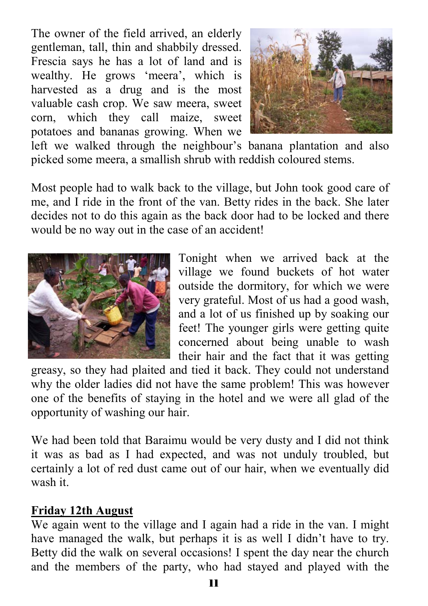The owner of the field arrived, an elderly gentleman, tall, thin and shabbily dressed. Frescia says he has a lot of land and is wealthy. He grows 'meera', which is harvested as a drug and is the most valuable cash crop. We saw meera, sweet corn, which they call maize, sweet potatoes and bananas growing. When we



left we walked through the neighbour's banana plantation and also picked some meera, a smallish shrub with reddish coloured stems.

Most people had to walk back to the village, but John took good care of me, and I ride in the front of the van. Betty rides in the back. She later decides not to do this again as the back door had to be locked and there would be no way out in the case of an accident!



Tonight when we arrived back at the village we found buckets of hot water outside the dormitory, for which we were very grateful. Most of us had a good wash, and a lot of us finished up by soaking our feet! The younger girls were getting quite concerned about being unable to wash their hair and the fact that it was getting

greasy, so they had plaited and tied it back. They could not understand why the older ladies did not have the same problem! This was however one of the benefits of staying in the hotel and we were all glad of the opportunity of washing our hair.

We had been told that Baraimu would be very dusty and I did not think it was as bad as I had expected, and was not unduly troubled, but certainly a lot of red dust came out of our hair, when we eventually did wash it.

### **Friday 12th August**

We again went to the village and I again had a ride in the van. I might have managed the walk, but perhaps it is as well I didn't have to try. Betty did the walk on several occasions! I spent the day near the church and the members of the party, who had stayed and played with the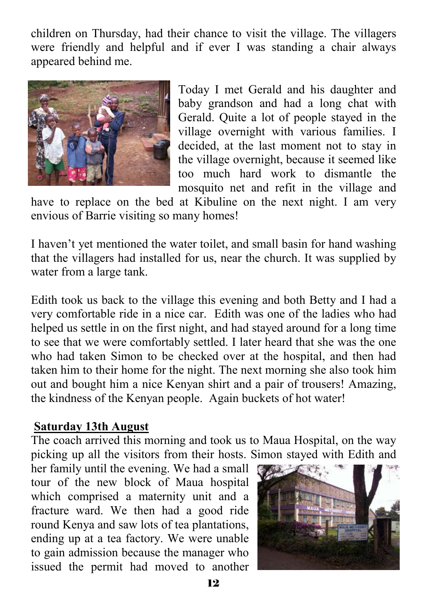children on Thursday, had their chance to visit the village. The villagers were friendly and helpful and if ever I was standing a chair always appeared behind me.



Today I met Gerald and his daughter and baby grandson and had a long chat with Gerald. Quite a lot of people stayed in the village overnight with various families. I decided, at the last moment not to stay in the village overnight, because it seemed like too much hard work to dismantle the mosquito net and refit in the village and

have to replace on the bed at Kibuline on the next night. I am very envious of Barrie visiting so many homes!

I haven't yet mentioned the water toilet, and small basin for hand washing that the villagers had installed for us, near the church. It was supplied by water from a large tank.

Edith took us back to the village this evening and both Betty and I had a very comfortable ride in a nice car. Edith was one of the ladies who had helped us settle in on the first night, and had stayed around for a long time to see that we were comfortably settled. I later heard that she was the one who had taken Simon to be checked over at the hospital, and then had taken him to their home for the night. The next morning she also took him out and bought him a nice Kenyan shirt and a pair of trousers! Amazing, the kindness of the Kenyan people. Again buckets of hot water!

#### **Saturday 13th August**

The coach arrived this morning and took us to Maua Hospital, on the way picking up all the visitors from their hosts. Simon stayed with Edith and

her family until the evening. We had a small tour of the new block of Maua hospital which comprised a maternity unit and a fracture ward. We then had a good ride round Kenya and saw lots of tea plantations, ending up at a tea factory. We were unable to gain admission because the manager who issued the permit had moved to another

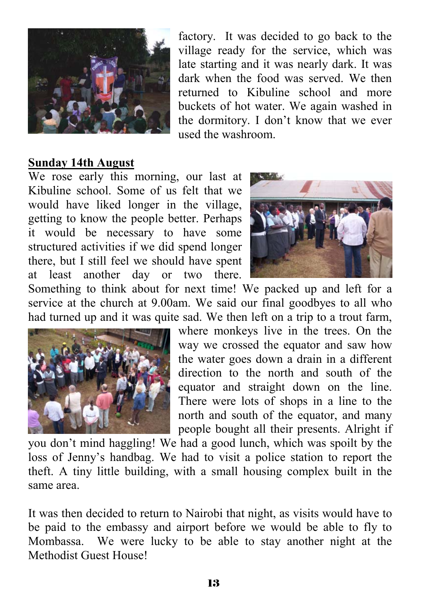

factory. It was decided to go back to the village ready for the service, which was late starting and it was nearly dark. It was dark when the food was served. We then returned to Kibuline school and more buckets of hot water. We again washed in the dormitory. I don't know that we ever used the washroom.

#### **Sunday 14th August**

We rose early this morning, our last at Kibuline school. Some of us felt that we would have liked longer in the village, getting to know the people better. Perhaps it would be necessary to have some structured activities if we did spend longer there, but I still feel we should have spent at least another day or two there.



Something to think about for next time! We packed up and left for a service at the church at 9.00am. We said our final goodbyes to all who had turned up and it was quite sad. We then left on a trip to a trout farm,



where monkeys live in the trees. On the way we crossed the equator and saw how the water goes down a drain in a different direction to the north and south of the equator and straight down on the line. There were lots of shops in a line to the north and south of the equator, and many people bought all their presents. Alright if

you don't mind haggling! We had a good lunch, which was spoilt by the loss of Jenny's handbag. We had to visit a police station to report the theft. A tiny little building, with a small housing complex built in the same area.

It was then decided to return to Nairobi that night, as visits would have to be paid to the embassy and airport before we would be able to fly to Mombassa. We were lucky to be able to stay another night at the Methodist Guest House!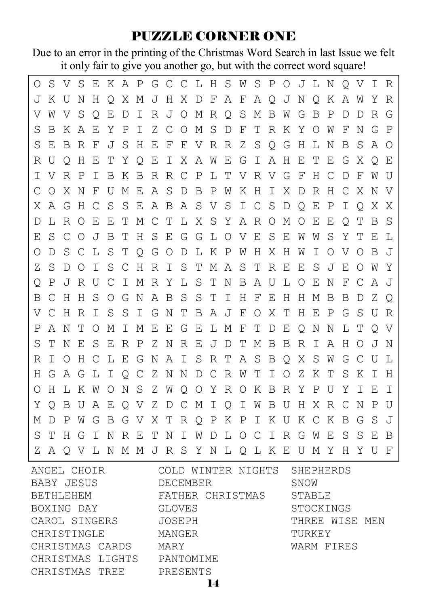# PUZZLE CORNER ONE

Due to an error in the printing of the Christmas Word Search in last Issue we felt it only fair to give you another go, but with the correct word square!

| O  |         | S V S E |            |         |             |     | K A P G C C L H S W S P O J L N Q V I R         |       |         |   |                           |       |    |              |               |         |       |         |       |             |         |            |         |              |
|----|---------|---------|------------|---------|-------------|-----|-------------------------------------------------|-------|---------|---|---------------------------|-------|----|--------------|---------------|---------|-------|---------|-------|-------------|---------|------------|---------|--------------|
| J  |         | K U N   |            | H       |             |     | O X M J H X D F A F A O J N O K                 |       |         |   |                           |       |    |              |               |         |       |         |       |             | A W     |            | Y       | R            |
| V  |         | W V     | S Q        |         | E           |     | D I                                             |       |         |   | R J O M R Q S M B W G     |       |    |              |               |         |       |         | B     | $\mathbb P$ | D       | D          | R       | G            |
| S  | B       | К       | A          | Е       | Y           |     | P I                                             |       |         |   | Z C O M S D F T R K       |       |    |              |               |         |       |         | Y O W |             | F       | Ν          | G       | $\mathbf P$  |
| S  | E.      | B       | R          | F       | J           | S   | H                                               | Е     |         |   | F F V R R Z S Q G         |       |    |              |               |         |       | H       | L N   |             | B       | S          | A O     |              |
| R  | U       | $\circ$ | H          | Е       |             |     | TYQEIXAWEGI                                     |       |         |   |                           |       |    |              |               | AH      |       | E       | T.    | Е           | G       | X          | $\circ$ | E            |
| I  | V       | R P     |            | T       | B           |     | K B R R C P L T V R V G F                       |       |         |   |                           |       |    |              |               |         |       |         | H C   |             | D       | F          | W U     |              |
| С  | $\circ$ | X       | N          | F       | U           | М   | E                                               |       |         |   | A S D B P W K H I X D R H |       |    |              |               |         |       |         |       |             | C X     |            | N V     |              |
| X  | AG      |         | H C        |         | S           | S   | E                                               |       |         |   | A B A S V S               |       |    | $\mathbb{I}$ | C S           |         | D O   |         | Е     | $\mathbb P$ | T       | $\circ$    | X X     |              |
| D  | T.      | R O     |            | E       | Е           | Т   |                                                 | M C T |         |   | L X S Y A R O M           |       |    |              |               |         |       | $\circ$ | E     | Е           | $\circ$ | Т          | B       | S            |
| Ε  | S       | C       | $\bigcirc$ | J       | B           | Т   | H                                               | S E   |         |   | G G L O V E               |       |    |              |               | S       | E     | W       | W     | S           | Υ       | T          | Ε       | L            |
| Ο  | D       | S       | C.         | L       | - S         | т   | O G O                                           |       |         | D | LKPW                      |       |    |              | H             | X       | H     | W       | I     | O           | V       | $\bigcirc$ | B       | $\mathbf{J}$ |
| Ζ  | S       | D       | $\circ$    | T.      | S           | C.  | H                                               |       | R I S   |   | T                         |       |    | MAST         |               | R E     |       | E       |       | S J         | Е       | $\circ$    | W       | Y            |
| O  | Ρ       | J       | R U        |         | $\mathbb C$ |     | I M R Y L S T                                   |       |         |   |                           |       |    |              | N B A U       |         | L O   |         | Е     | N           | F       | C          | AJ      |              |
| Β  | C       | Н       | H          |         | S O G       |     | N                                               |       | A B S   |   | - S                       | T I   |    | H            | F E           |         | H H M |         |       | B           | B       | D          | Ζ       | $\circ$      |
| V  | C       | H       | R          | T.      |             | S S | I G N                                           |       |         | T | BAJFOX                    |       |    |              |               |         | T     | H       | E     | P           | G       | S          | U       | R            |
| Ρ  |         | A N T   |            | $\circ$ | М           | I M |                                                 |       | E E G E |   |                           | L M F |    |              | T D E         |         |       |         | QΝ    | N           | L T     |            | O V     |              |
| S  | Т       | Ν       | E          | S       | E           | R   | $\mathbb{P}$                                    |       | Z N R E |   |                           | JDT   |    |              | М             | B       | B     | R       | T     | A           | H       | O          | ъT.     | N            |
| R  | T.      | $\circ$ | H C        |         | L E G       |     |                                                 |       |         |   | N A I S R T               |       |    |              | A S B O X S W |         |       |         |       |             | G       | C          | U L     |              |
| H. | G       |         |            |         |             |     | A G L I O C Z N N D C R W T                     |       |         |   |                           |       |    |              |               | $\perp$ |       | O Z K   |       | T           | S       | Κ          | T       | H            |
| O  |         |         |            |         |             |     | H L K W O N S Z W                               |       |         |   | O O Y R O K B R Y P U Y   |       |    |              |               |         |       |         |       |             |         | T          | E       | I            |
| Y  | O       | B       | U          | A       | 王           |     | O V                                             |       |         |   | Z D C M I                 |       | QI |              | W B           |         |       |         |       | U H X R C N |         |            | P       | U            |
| М  | D       | P       |            |         |             |     | W G B G V                                       |       |         |   | X T R Q P K P I K U K C K |       |    |              |               |         |       |         |       |             | B       | G          | S       | - J          |
| S  | Т       |         | H G        | $\top$  | N           | R E |                                                 | T     | N       | I | W                         | D     |    |              | LOCIRGW       |         |       |         |       | Е           | S       | S          | E.      | B            |
| Ζ  |         |         |            |         |             |     | A O V L N M M J R S Y N L O L K E U M Y H Y U F |       |         |   |                           |       |    |              |               |         |       |         |       |             |         |            |         |              |

| ANGEL CHOIR      | COLD WINTER NIGHTS SHEPHERDS |                |  |  |  |  |
|------------------|------------------------------|----------------|--|--|--|--|
| BABY JESUS       | DECEMBER                     | SNOW           |  |  |  |  |
| BETHLEHEM        | FATHER CHRISTMAS             | STABLE         |  |  |  |  |
| BOXING DAY       | GLOVES                       | STOCKINGS      |  |  |  |  |
| CAROL SINGERS    | JOSEPH                       | THREE WISE MEN |  |  |  |  |
| CHRISTINGLE      | MANGER                       | TURKEY         |  |  |  |  |
| CHRISTMAS CARDS  | MARY                         | WARM FIRES     |  |  |  |  |
| CHRISTMAS LIGHTS | PANTOMIME                    |                |  |  |  |  |
| CHRISTMAS TREE   | PRESENTS                     |                |  |  |  |  |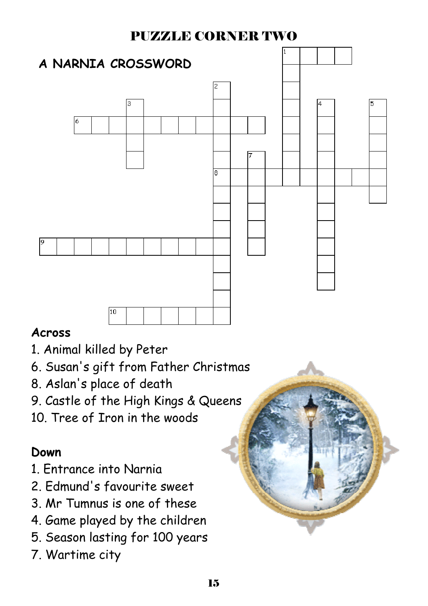# PUZZLE CORNER TWO



### **Across**

- 1. Animal killed by Peter
- 6. Susan's gift from Father Christmas
- 8. Aslan's place of death
- 9. Castle of the High Kings & Queens
- 10. Tree of Iron in the woods

# **Down**

- 1. Entrance into Narnia
- 2. Edmund's favourite sweet
- 3. Mr Tumnus is one of these
- 4. Game played by the children
- 5. Season lasting for 100 years
- 7. Wartime city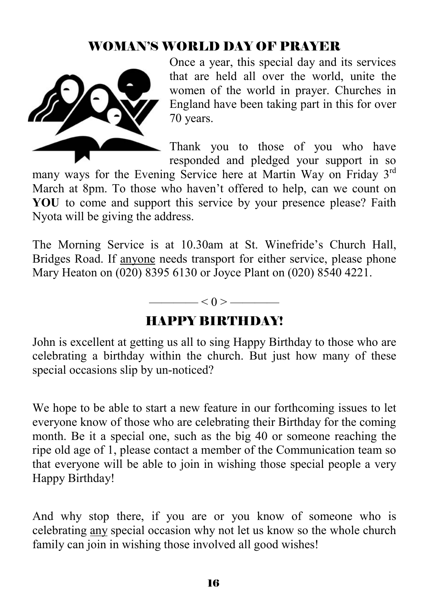# WOMAN'S WORLD DAY OF PRAYER



Once a year, this special day and its services that are held all over the world, unite the women of the world in prayer. Churches in England have been taking part in this for over 70 years.

Thank you to those of you who have responded and pledged your support in so

many ways for the Evening Service here at Martin Way on Friday 3<sup>rd</sup> March at 8pm. To those who haven't offered to help, can we count on **YOU** to come and support this service by your presence please? Faith Nyota will be giving the address.

The Morning Service is at 10.30am at St. Winefride's Church Hall, Bridges Road. If anyone needs transport for either service, please phone Mary Heaton on (020) 8395 6130 or Joyce Plant on (020) 8540 4221.

#### $\leq 0$  >  $\equiv$

### HAPPY BIRTHDAY!

John is excellent at getting us all to sing Happy Birthday to those who are celebrating a birthday within the church. But just how many of these special occasions slip by un-noticed?

We hope to be able to start a new feature in our forthcoming issues to let everyone know of those who are celebrating their Birthday for the coming month. Be it a special one, such as the big 40 or someone reaching the ripe old age of 1, please contact a member of the Communication team so that everyone will be able to join in wishing those special people a very Happy Birthday!

And why stop there, if you are or you know of someone who is celebrating any special occasion why not let us know so the whole church family can join in wishing those involved all good wishes!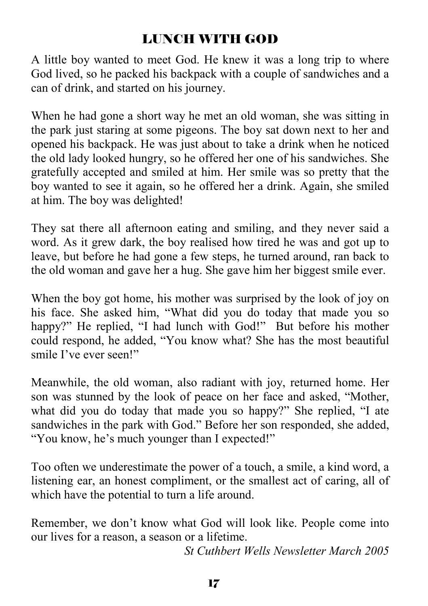# LUNCH WITH GOD

A little boy wanted to meet God. He knew it was a long trip to where God lived, so he packed his backpack with a couple of sandwiches and a can of drink, and started on his journey.

When he had gone a short way he met an old woman, she was sitting in the park just staring at some pigeons. The boy sat down next to her and opened his backpack. He was just about to take a drink when he noticed the old lady looked hungry, so he offered her one of his sandwiches. She gratefully accepted and smiled at him. Her smile was so pretty that the boy wanted to see it again, so he offered her a drink. Again, she smiled at him. The boy was delighted!

They sat there all afternoon eating and smiling, and they never said a word. As it grew dark, the boy realised how tired he was and got up to leave, but before he had gone a few steps, he turned around, ran back to the old woman and gave her a hug. She gave him her biggest smile ever.

When the boy got home, his mother was surprised by the look of joy on his face. She asked him, "What did you do today that made you so happy?" He replied, "I had lunch with God!" But before his mother could respond, he added, "You know what? She has the most beautiful smile I've ever seen!"

Meanwhile, the old woman, also radiant with joy, returned home. Her son was stunned by the look of peace on her face and asked, "Mother, what did you do today that made you so happy?" She replied, "I ate sandwiches in the park with God." Before her son responded, she added, "You know, he's much younger than I expected!"

Too often we underestimate the power of a touch, a smile, a kind word, a listening ear, an honest compliment, or the smallest act of caring, all of which have the potential to turn a life around.

Remember, we don't know what God will look like. People come into our lives for a reason, a season or a lifetime.

*St Cuthbert Wells Newsletter March 2005*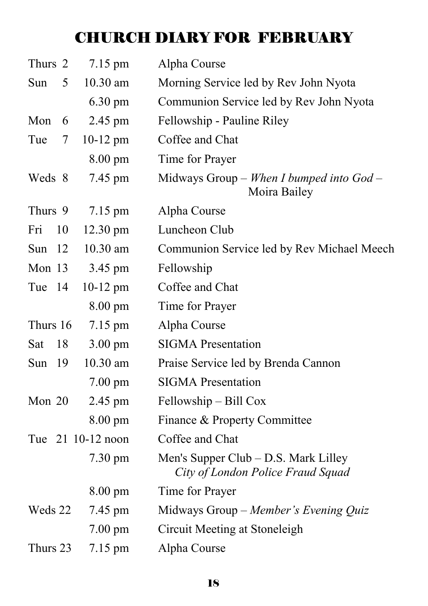# CHURCH DIARY FOR FEBRUARY

| Thurs 2    | 7.15 pm            | Alpha Course                                                                |
|------------|--------------------|-----------------------------------------------------------------------------|
| 5<br>Sun   | 10.30 am           | Morning Service led by Rev John Nyota                                       |
|            | $6.30 \text{ pm}$  | Communion Service led by Rev John Nyota                                     |
| Mon<br>6   | 2.45 pm            | Fellowship - Pauline Riley                                                  |
| Tue<br>7   | $10-12$ pm         | Coffee and Chat                                                             |
|            | $8.00 \text{ pm}$  | Time for Prayer                                                             |
| Weds 8     | 7.45 pm            | Midways Group – When I bumped into $God -$<br>Moira Bailey                  |
| Thurs 9    | 7.15 pm            | Alpha Course                                                                |
| Fri<br>10  | $12.30 \text{ pm}$ | Luncheon Club                                                               |
| Sun<br>-12 | 10.30 am           | Communion Service led by Rev Michael Meech                                  |
| Mon 13     | 3.45 pm            | Fellowship                                                                  |
| Tue 14     | $10-12$ pm         | Coffee and Chat                                                             |
|            | $8.00 \text{ pm}$  | Time for Prayer                                                             |
| Thurs 16   | 7.15 pm            | Alpha Course                                                                |
| Sat<br>18  | $3.00 \text{ pm}$  | <b>SIGMA</b> Presentation                                                   |
| 19<br>Sun  | $10.30$ am         | Praise Service led by Brenda Cannon                                         |
|            | $7.00 \text{ pm}$  | <b>SIGMA</b> Presentation                                                   |
| Mon 20     | 2.45 pm            | Fellowship - Bill Cox                                                       |
|            | $8.00 \text{ pm}$  | Finance & Property Committee                                                |
|            | Tue 21 10-12 noon  | Coffee and Chat                                                             |
|            | $7.30 \text{ pm}$  | Men's Supper Club $-$ D.S. Mark Lilley<br>City of London Police Fraud Squad |
|            | $8.00 \text{ pm}$  | Time for Prayer                                                             |
| Weds 22    | 7.45 pm            | Midways Group - Member's Evening Quiz                                       |
|            | $7.00 \text{ pm}$  | Circuit Meeting at Stoneleigh                                               |
| Thurs 23   | $7.15 \text{ pm}$  | Alpha Course                                                                |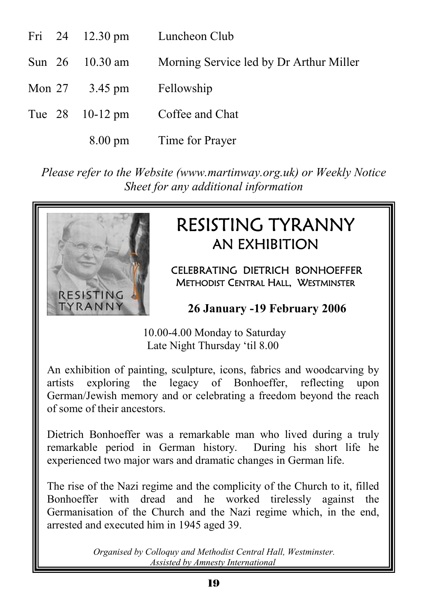|  | Fri 24 12.30 pm                                 | Luncheon Club                           |
|--|-------------------------------------------------|-----------------------------------------|
|  | Sun $26$ 10.30 am                               | Morning Service led by Dr Arthur Miller |
|  | Mon $27 \frac{3.45 \text{ pm}}{2.5 \text{ pm}}$ | Fellowship                              |
|  | Tue $28$ 10-12 pm                               | Coffee and Chat                         |
|  |                                                 | 8.00 pm Time for Prayer                 |

*Please refer to the Website (www.martinway.org.uk) or Weekly Notice Sheet for any additional information*



# RESISTING TYRANNY AN EXHIBITION

CELEBRATING DIETRICH BONHOEFFER METHODIST CENTRAL HALL, WESTMINSTER

 **26 January -19 February 2006** 

 10.00-4.00 Monday to Saturday Late Night Thursday 'til 8.00

An exhibition of painting, sculpture, icons, fabrics and woodcarving by artists exploring the legacy of Bonhoeffer, reflecting upon German/Jewish memory and or celebrating a freedom beyond the reach of some of their ancestors.

Dietrich Bonhoeffer was a remarkable man who lived during a truly remarkable period in German history. During his short life he experienced two major wars and dramatic changes in German life.

The rise of the Nazi regime and the complicity of the Church to it, filled Bonhoeffer with dread and he worked tirelessly against the Germanisation of the Church and the Nazi regime which, in the end, arrested and executed him in 1945 aged 39.

> *Organised by Colloquy and Methodist Central Hall, Westminster. Assisted by Amnesty International*